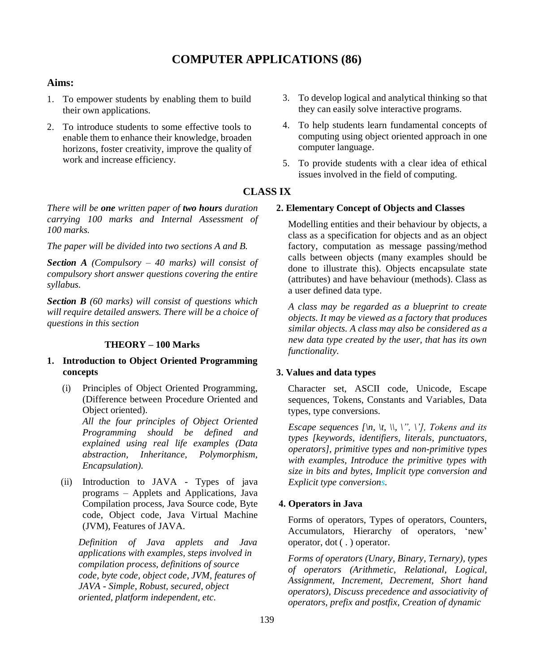# **COMPUTER APPLICATIONS (86)**

# **Aims:**

- 1. To empower students by enabling them to build their own applications.
- 2. To introduce students to some effective tools to enable them to enhance their knowledge, broaden horizons, foster creativity, improve the quality of work and increase efficiency.

*There will be one written paper of two hours duration carrying 100 marks and Internal Assessment of 100 marks.*

*The paper will be divided into two sections A and B.*

*Section A (Compulsory – 40 marks) will consist of compulsory short answer questions covering the entire syllabus.*

*Section B (60 marks) will consist of questions which will require detailed answers. There will be a choice of questions in this section*

# **THEORY – 100 Marks**

# **1. Introduction to Object Oriented Programming concepts**

(i) Principles of Object Oriented Programming, (Difference between Procedure Oriented and Object oriented).

> *All the four principles of Object Oriented Programming should be defined and explained using real life examples (Data abstraction, Inheritance, Polymorphism, Encapsulation).*

(ii) Introduction to JAVA - Types of java programs – Applets and Applications, Java Compilation process, Java Source code, Byte code, Object code, Java Virtual Machine (JVM), Features of JAVA.

*Definition of Java applets and Java applications with examples, steps involved in compilation process, definitions of source code, byte code, object code, JVM, features of JAVA - Simple, Robust, secured, object oriented, platform independent, etc.*

- 3. To develop logical and analytical thinking so that they can easily solve interactive programs.
- 4. To help students learn fundamental concepts of computing using object oriented approach in one computer language.
- 5. To provide students with a clear idea of ethical issues involved in the field of computing.

# **CLASS IX**

## **2. Elementary Concept of Objects and Classes**

Modelling entities and their behaviour by objects, a class as a specification for objects and as an object factory, computation as message passing/method calls between objects (many examples should be done to illustrate this). Objects encapsulate state (attributes) and have behaviour (methods). Class as a user defined data type.

*A class may be regarded as a blueprint to create objects. It may be viewed as a factory that produces similar objects. A class may also be considered as a new data type created by the user, that has its own functionality.*

# **3. Values and data types**

Character set, ASCII code, Unicode, Escape sequences, Tokens, Constants and Variables, Data types, type conversions.

*Escape sequences*  $\lceil \n\langle n, \n\rangle \rceil$ ,  $\lceil \n\langle n, \n\rangle \rceil$ ,  $\lceil \n\langle n, \n\rangle \rceil$ , *Tokens and its types [keywords*, *identifiers, literals, punctuators, operators], primitive types and non-primitive types with examples, Introduce the primitive types with size in bits and bytes, Implicit type conversion and Explicit type conversions.*

#### **4. Operators in Java**

Forms of operators, Types of operators, Counters, Accumulators, Hierarchy of operators, 'new' operator, dot ( . ) operator.

*Forms of operators (Unary, Binary, Ternary), types of operators (Arithmetic, Relational, Logical, Assignment, Increment, Decrement, Short hand operators), Discuss precedence and associativity of operators*, *prefix and postfix, Creation of dynamic*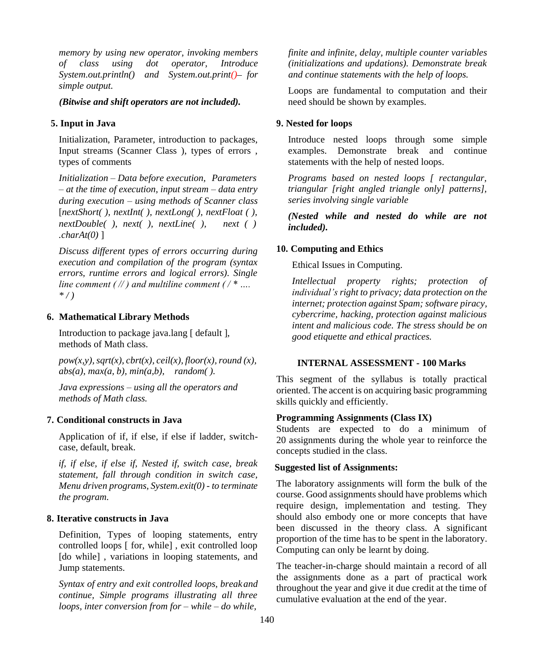*memory by using new operator, invoking members of class using dot operator, Introduce System.out.println() and System.out.print()–for simple output.*

*(Bitwise and shift operators are not included).*

## **5. Input in Java**

Initialization, Parameter, introduction to packages, Input streams (Scanner Class ), types of errors , types of comments

*Initialization* – *Data before execution, Parameters – at the time of execution, input stream – data entry during execution – using methods of Scanner class*  [*nextShort( )*, *nextInt( ), nextLong( ), nextFloat ( ), nextDouble( ), next( ), nextLine( ), next ( ) .charAt(0)* ]

*Discuss different types of errors occurring during execution and compilation of the program (syntax errors, runtime errors and logical errors). Single line comment ( // ) and multiline comment ( / \* …. \* / )*

## **6. Mathematical Library Methods**

Introduction to package java.lang [ default ], methods of Math class.

 $pow(x, y)$ ,  $sqrt(x)$ ,  $cbrt(x)$ ,  $ceil(x)$ ,  $floor(x)$ , round  $(x)$ , *abs(a), max(a, b), min(a,b), random( ).*

*Java expressions – using all the operators and methods of Math class.*

# **7. Conditional constructs in Java**

Application of if, if else, if else if ladder, switchcase, default, break.

*if, if else, if else if, Nested if, switch case, break statement, fall through condition in switch case, Menu driven programs, System.exit(0) - to terminate the program.*

#### **8. Iterative constructs in Java**

Definition, Types of looping statements, entry controlled loops [ for, while] , exit controlled loop [do while], variations in looping statements, and Jump statements.

*Syntax of entry and exit controlled loops, breakand continue, Simple programs illustrating all three loops, inter conversion from for – while – do while,*

*finite and infinite, delay, multiple counter variables (initializations and updations). Demonstrate break and continue statements with the help of loops.*

Loops are fundamental to computation and their need should be shown by examples.

### **9. Nested for loops**

Introduce nested loops through some simple examples. Demonstrate break and continue statements with the help of nested loops.

*Programs based on nested loops [ rectangular, triangular [right angled triangle only] patterns], series involving single variable*

*(Nested while and nested do while are not included).*

## **10. Computing and Ethics**

Ethical Issues in Computing.

*Intellectual property rights; protection of individual's right to privacy; data protection on the internet; protection against Spam; software piracy, cybercrime, hacking, protection against malicious intent and malicious code. The stress should be on good etiquette and ethical practices.*

## **INTERNAL ASSESSMENT - 100 Marks**

This segment of the syllabus is totally practical oriented. The accent is on acquiring basic programming skills quickly and efficiently.

# **Programming Assignments (Class IX)**

Students are expected to do a minimum of 20 assignments during the whole year to reinforce the concepts studied in the class.

### **Suggested list of Assignments:**

The laboratory assignments will form the bulk of the course. Good assignments should have problems which require design, implementation and testing. They should also embody one or more concepts that have been discussed in the theory class. A significant proportion of the time has to be spent in the laboratory. Computing can only be learnt by doing.

The teacher-in-charge should maintain a record of all the assignments done as a part of practical work throughout the year and give it due credit at the time of cumulative evaluation at the end of the year.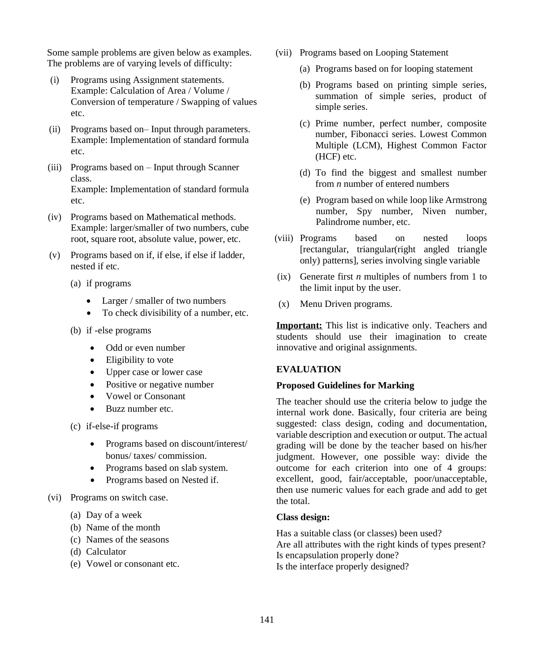Some sample problems are given below as examples. The problems are of varying levels of difficulty:

- (i) Programs using Assignment statements. Example: Calculation of Area / Volume / Conversion of temperature / Swapping of values etc.
- (ii) Programs based on– Input through parameters. Example: Implementation of standard formula etc.
- (iii) Programs based on Input through Scanner class. Example: Implementation of standard formula etc.
- (iv) Programs based on Mathematical methods. Example: larger/smaller of two numbers, cube root, square root, absolute value, power, etc.
- (v) Programs based on if, if else, if else if ladder, nested if etc.
	- (a) if programs
		- Larger / smaller of two numbers
		- To check divisibility of a number, etc.
	- (b) if -else programs
		- Odd or even number
		- Eligibility to vote
		- Upper case or lower case
		- Positive or negative number
		- Vowel or Consonant
		- Buzz number etc.
	- (c) if-else-if programs
		- Programs based on discount/interest/ bonus/ taxes/ commission.
		- Programs based on slab system.
		- Programs based on Nested if.
- (vi) Programs on switch case.
	- (a) Day of a week
	- (b) Name of the month
	- (c) Names of the seasons
	- (d) Calculator
	- (e) Vowel or consonant etc.
- (vii) Programs based on Looping Statement
	- (a) Programs based on for looping statement
	- (b) Programs based on printing simple series, summation of simple series, product of simple series.
	- (c) Prime number, perfect number, composite number, Fibonacci series. Lowest Common Multiple (LCM), Highest Common Factor (HCF) etc.
	- (d) To find the biggest and smallest number from *n* number of entered numbers
	- (e) Program based on while loop like Armstrong number, Spy number, Niven number, Palindrome number, etc.
- (viii) Programs based on nested loops [rectangular, triangular(right angled triangle only) patterns], series involving single variable
- (ix) Generate first *n* multiples of numbers from 1 to the limit input by the user.
- (x) Menu Driven programs.

**Important:** This list is indicative only. Teachers and students should use their imagination to create innovative and original assignments.

# **EVALUATION**

## **Proposed Guidelines for Marking**

The teacher should use the criteria below to judge the internal work done. Basically, four criteria are being suggested: class design, coding and documentation, variable description and execution or output. The actual grading will be done by the teacher based on his/her judgment. However, one possible way: divide the outcome for each criterion into one of 4 groups: excellent, good, fair/acceptable, poor/unacceptable, then use numeric values for each grade and add to get the total.

# **Class design:**

Has a suitable class (or classes) been used? Are all attributes with the right kinds of types present? Is encapsulation properly done? Is the interface properly designed?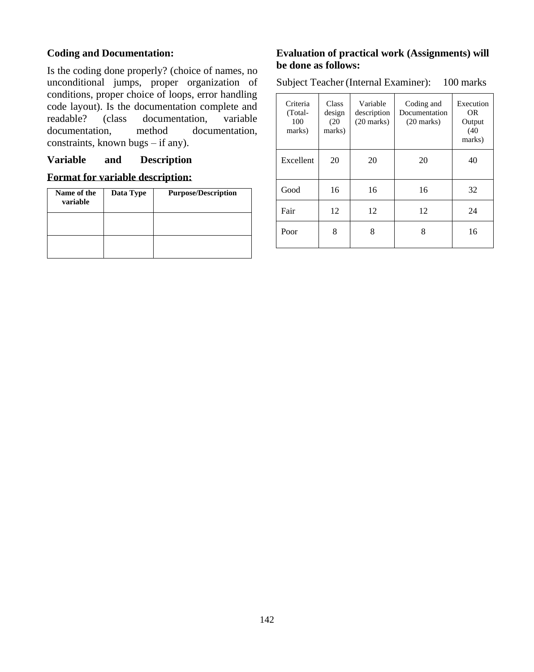# **Coding and Documentation:**

Is the coding done properly? (choice of names, no unconditional jumps, proper organization of conditions, proper choice of loops, error handling code layout). Is the documentation complete and readable? (class documentation, variable<br>documentation, method documentation, documentation, constraints, known bugs – if any).

# **Variable and Description**

# **Format for variable description:**

| Name of the<br>variable | Data Type | <b>Purpose/Description</b> |  |  |
|-------------------------|-----------|----------------------------|--|--|
|                         |           |                            |  |  |
|                         |           |                            |  |  |

# **Evaluation of practical work (Assignments) will be done as follows:**

Subject Teacher (Internal Examiner): 100 marks

| Criteria<br>(Total-<br>100<br>marks) | <b>Class</b><br>design<br>(20)<br>marks) | Variable<br>description<br>$(20 \text{ marks})$ | Coding and<br>Documentation<br>$(20$ marks) | Execution<br>OR.<br>Output<br>(40)<br>marks) |
|--------------------------------------|------------------------------------------|-------------------------------------------------|---------------------------------------------|----------------------------------------------|
| Excellent                            | 20                                       | 20                                              | 20                                          | 40                                           |
| Good                                 | 16                                       | 16                                              | 16                                          | 32                                           |
| Fair                                 | 12                                       | 12                                              | 12                                          | 24                                           |
| Poor                                 | 8                                        | 8                                               | 8                                           | 16                                           |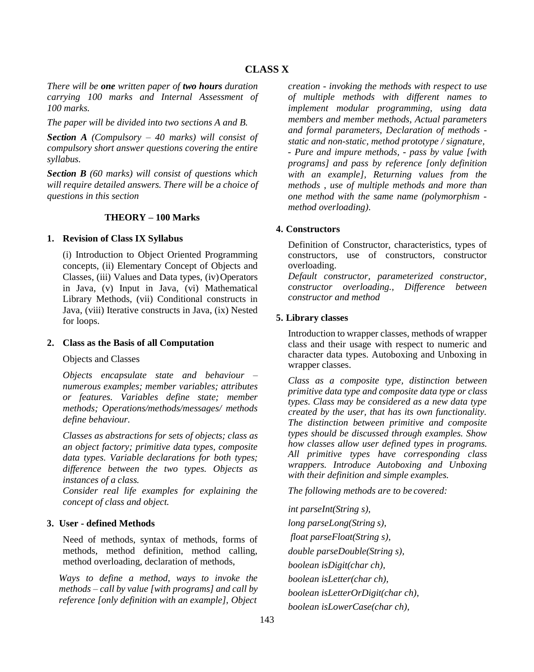# **CLASS X**

*There will be one written paper of two hours duration carrying 100 marks and Internal Assessment of 100 marks.*

*The paper will be divided into two sections A and B.*

*Section A (Compulsory – 40 marks) will consist of compulsory short answer questions covering the entire syllabus.*

*Section B (60 marks) will consist of questions which will require detailed answers. There will be a choice of questions in this section*

#### **THEORY – 100 Marks**

#### **1. Revision of Class IX Syllabus**

(i) Introduction to Object Oriented Programming concepts, (ii) Elementary Concept of Objects and Classes, (iii) Values and Data types, (iv)Operators in Java, (v) Input in Java, (vi) Mathematical Library Methods, (vii) Conditional constructs in Java, (viii) Iterative constructs in Java, (ix) Nested for loops.

#### **2. Class as the Basis of all Computation**

Objects and Classes

*Objects encapsulate state and behaviour – numerous examples; member variables; attributes or features. Variables define state; member methods; Operations/methods/messages/ methods define behaviour.*

*Classes as abstractions for sets of objects; class as an object factory; primitive data types, composite data types. Variable declarations for both types; difference between the two types. Objects as instances of a class.*

*Consider real life examples for explaining the concept of class and object.*

## **3. User - defined Methods**

Need of methods, syntax of methods, forms of methods, method definition, method calling, method overloading, declaration of methods,

*Ways to define a method, ways to invoke the methods – call by value [with programs] and call by reference [only definition with an example], Object*

*creation - invoking the methods with respect to use of multiple methods with different names to implement modular programming, using data members and member methods, Actual parameters and formal parameters, Declaration of methods static and non-static, method prototype / signature,*

*- Pure and impure methods, - pass by value [with programs] and pass by reference [only definition with an example], Returning values from the methods* , *use of multiple methods and more than one method with the same name (polymorphism method overloading).*

## **4. Constructors**

Definition of Constructor, characteristics, types of constructors, use of constructors, constructor overloading.

*Default constructor, parameterized constructor, constructor overloading., Difference between constructor and method*

### **5. Library classes**

Introduction to wrapper classes, methods of wrapper class and their usage with respect to numeric and character data types. Autoboxing and Unboxing in wrapper classes.

*Class as a composite type, distinction between primitive data type and composite data type or class types. Class may be considered as a new data type created by the user, that has its own functionality. The distinction between primitive and composite types should be discussed through examples. Show how classes allow user defined types in programs. All primitive types have corresponding class wrappers. Introduce Autoboxing and Unboxing with their definition and simple examples.*

*The following methods are to be covered:*

*int parseInt(String s), long parseLong(String s), float parseFloat(String s), double parseDouble(String s), boolean isDigit(char ch), boolean isLetter(char ch), boolean isLetterOrDigit(char ch), boolean isLowerCase(char ch),*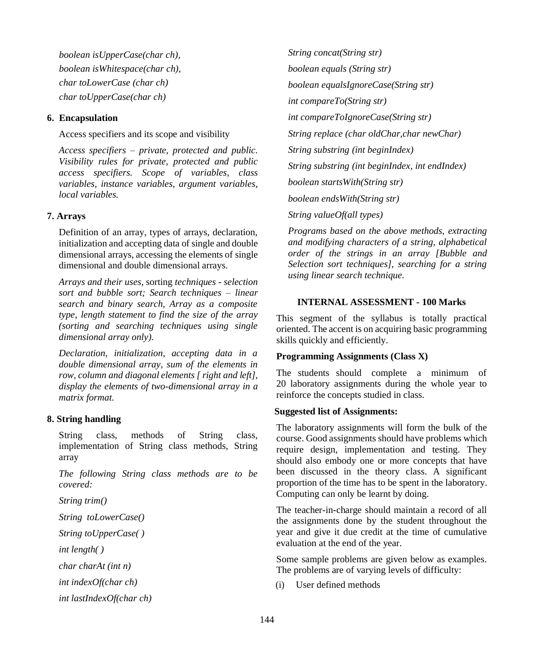*boolean isUpperCase(char ch), boolean isWhitespace(char ch), char toLowerCase (char ch) char toUpperCase(char ch)*

## **6. Encapsulation**

Access specifiers and its scope and visibility

*Access specifiers – private, protected and public. Visibility rules for private, protected and public access specifiers. Scope of variables, class variables, instance variables, argument variables, local variables.*

# **7. Arrays**

Definition of an array, types of arrays, declaration, initialization and accepting data of single and double dimensional arrays, accessing the elements of single dimensional and double dimensional arrays.

*Arrays and their uses*, sorting *techniques - selection sort and bubble sort; Search techniques – linear search and binary search, Array as a composite type, length statement to find the size of the array (sorting and searching techniques using single dimensional array only).*

*Declaration, initialization, accepting data in a double dimensional array, sum of the elements in row, column and diagonal elements [ right and left], display the elements of two-dimensional array in a matrix format.*

## **8. String handling**

String class, methods of String class, implementation of String class methods, String array

*The following String class methods are to be covered:*

*String trim()*

*String toLowerCase()* 

*String toUpperCase( )* 

*int length( )*

*char charAt (int n)* 

*int indexOf(char ch)*

*int lastIndexOf(char ch)*

*String concat(String str) boolean equals (String str) boolean equalsIgnoreCase(String str) int compareTo(String str) int compareToIgnoreCase(String str) String replace (char oldChar,char newChar) String substring (int beginIndex) String substring (int beginIndex, int endIndex) boolean startsWith(String str) boolean endsWith(String str) String valueOf(all types)*

*Programs based on the above methods, extracting and modifying characters of a string, alphabetical order of the strings in an array [Bubble and Selection sort techniques], searching for a string using linear search technique.*

# **INTERNAL ASSESSMENT - 100 Marks**

This segment of the syllabus is totally practical oriented. The accent is on acquiring basic programming skills quickly and efficiently.

## **Programming Assignments (Class X)**

The students should complete a minimum of 20 laboratory assignments during the whole year to reinforce the concepts studied in class.

## **Suggested list of Assignments:**

The laboratory assignments will form the bulk of the course. Good assignments should have problems which require design, implementation and testing. They should also embody one or more concepts that have been discussed in the theory class. A significant proportion of the time has to be spent in the laboratory. Computing can only be learnt by doing.

The teacher-in-charge should maintain a record of all the assignments done by the student throughout the year and give it due credit at the time of cumulative evaluation at the end of the year.

Some sample problems are given below as examples. The problems are of varying levels of difficulty:

(i) User defined methods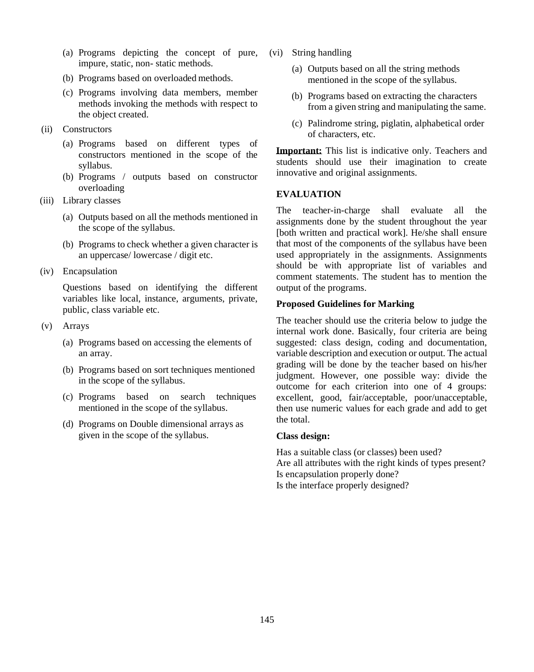- (a) Programs depicting the concept of pure, impure, static, non- static methods.
- (b) Programs based on overloaded methods.
- (c) Programs involving data members, member methods invoking the methods with respect to the object created.
- (ii) Constructors
	- (a) Programs based on different types of constructors mentioned in the scope of the syllabus.
	- (b) Programs / outputs based on constructor overloading
- (iii) Library classes
	- (a) Outputs based on all the methods mentioned in the scope of the syllabus.
	- (b) Programs to check whether a given character is an uppercase/ lowercase / digit etc.
- (iv) Encapsulation

Questions based on identifying the different variables like local, instance, arguments, private, public, class variable etc.

- (v) Arrays
	- (a) Programs based on accessing the elements of an array.
	- (b) Programs based on sort techniques mentioned in the scope of the syllabus.
	- (c) Programs based on search techniques mentioned in the scope of the syllabus.
	- (d) Programs on Double dimensional arrays as given in the scope of the syllabus.
- (vi) String handling
	- (a) Outputs based on all the string methods mentioned in the scope of the syllabus.
	- (b) Programs based on extracting the characters from a given string and manipulating the same.
	- (c) Palindrome string, piglatin, alphabetical order of characters, etc.

**Important:** This list is indicative only. Teachers and students should use their imagination to create innovative and original assignments.

# **EVALUATION**

The teacher-in-charge shall evaluate all the assignments done by the student throughout the year [both written and practical work]. He/she shall ensure that most of the components of the syllabus have been used appropriately in the assignments. Assignments should be with appropriate list of variables and comment statements. The student has to mention the output of the programs.

# **Proposed Guidelines for Marking**

The teacher should use the criteria below to judge the internal work done. Basically, four criteria are being suggested: class design, coding and documentation, variable description and execution or output. The actual grading will be done by the teacher based on his/her judgment. However, one possible way: divide the outcome for each criterion into one of 4 groups: excellent, good, fair/acceptable, poor/unacceptable, then use numeric values for each grade and add to get the total.

# **Class design:**

Has a suitable class (or classes) been used? Are all attributes with the right kinds of types present? Is encapsulation properly done? Is the interface properly designed?